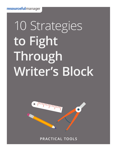# 10 Strategies **to Fight Through Writer's Block**



**PRACTICAL TOOLS**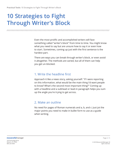# **10 Strategies to Fight Through Writer's Block**

**/ / / / / / / / / / / / / / / / / / / / / / / / / / / / / / / / / / / / / / / / / / / / / / / / / / / / / / / / / / / / / / / / / / / / / / / / / / / / / / / /** 

Even the most prolific and accomplished writers will face something called "writer's block" from time to time. You might know what you need to say but are unsure how to say it or even how to start. Sometimes, coming up just with the first sentence is the hardest part.

There are ways you can break through writer's block, or even avoid it altogether. The methods are varied, but all of them can help you get un-blocked.

#### 1. Write the headline first

Approach it like a news story, asking yourself: "If I were reporting on this information, what would be the main thing I'd want people to know? What's the second most important thing?" Coming up with a headline and a subhead or lead-in paragraph helps you sum up the angle you're trying to get across.

### 2. Make an outline

No need for pages of Roman numerals and a, b, and c: Just jot the major points you need to make in bullet form to use as a guide when writing.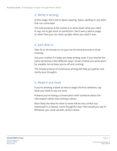#### 3. Write it wrong

At this stage, don't worry about spacing, typos, spelling or any edits that can come later.

The sole purpose at the outset is to write down what you need to say, not to get stuck on perfection. Don't worry about usage or other fixes you can clean up later when you read it over.

# 4. Just dive in

Take 10 to 20 minutes or so (you set the time amount) to write nonstop.

Use your outline if it helps but keep writing, even if you rewrite the same sentences a few different ways. Some of what you write won't be useable, but at least you're off and running.

The simple process of continuous writing will help you gather and clarify your thoughts.

# 5. Read it out loud

If you're drawing a blank at how to begin the first sentence, say what you need to say out loud.

Pretend you're having a conversation with someone about the information rather than writing it down.

Most likely the idea for what to write will be very similar but expressed in a cleaner, more thoughtful way. How would you say it? Whatever you come up with, write it down.

Page 3 / 5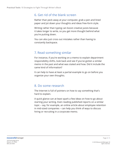#### 6. Get rid of the blank screen

Rather than peck away at your computer, grab a pen and lined paper and jot down your thoughts and ideas free-form style.

Writing rather than typing can boost creative juices because it takes longer to write, so you get more thought behind what you're putting down.

You can also just cross out mistakes rather than having to constantly backspace.

# 7. Read something similar

For instance, if you're working on a memo to explain department responsibility shifts, look back and see if you've gotten a similar memo in the past and what was stated and how. Did it include the same kind of information?

It can help to have at least a partial example to go on before you organize your own thoughts.

#### 8. Do some research

The Internet is full of pointers on how to say something that's hard to explain.

A quick glance can at least spark a few ideas on how to go about starting your writing. Even reading published reports on a similar topic – say, for example, an online article about employee retention in mid-sized companies – can help you think of ways to discuss hiring or recruiting in a corporate memo.